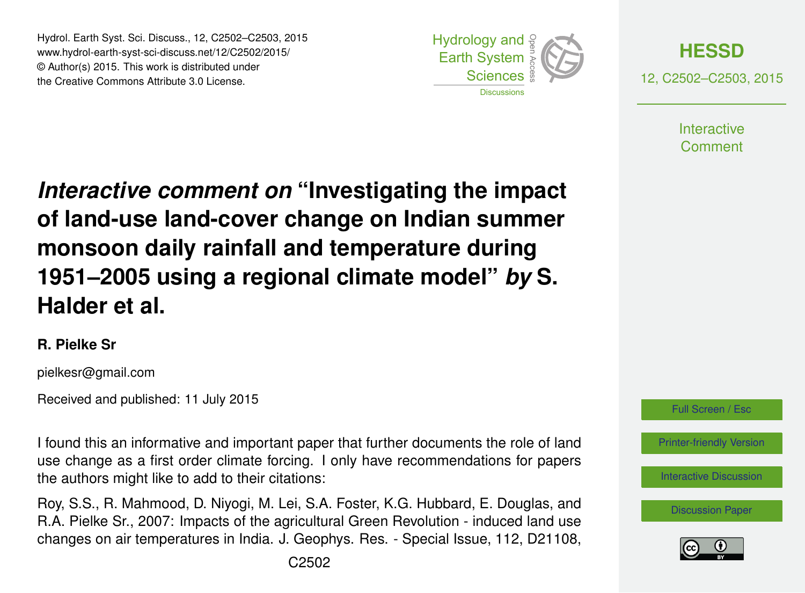Hydrol. Earth Syst. Sci. Discuss., 12, C2502–C2503, 2015 www.hydrol-earth-syst-sci-discuss.net/12/C2502/2015/ © Author(s) 2015. This work is distributed under the Creative Commons Attribute 3.0 License.





12, C2502–C2503, 2015

**Interactive** Comment

*Interactive comment on* **"Investigating the impact of land-use land-cover change on Indian summer monsoon daily rainfall and temperature during 1951–2005 using a regional climate model"** *by* **S. Halder et al.**

## **R. Pielke Sr**

pielkesr@gmail.com

Received and published: 11 July 2015

I found this an informative and important paper that further documents the role of land use change as a first order climate forcing. I only have recommendations for papers the authors might like to add to their citations:

Roy, S.S., R. Mahmood, D. Niyogi, M. Lei, S.A. Foster, K.G. Hubbard, E. Douglas, and R.A. Pielke Sr., 2007: Impacts of the agricultural Green Revolution - induced land use changes on air temperatures in India. J. Geophys. Res. - Special Issue, 112, D21108,